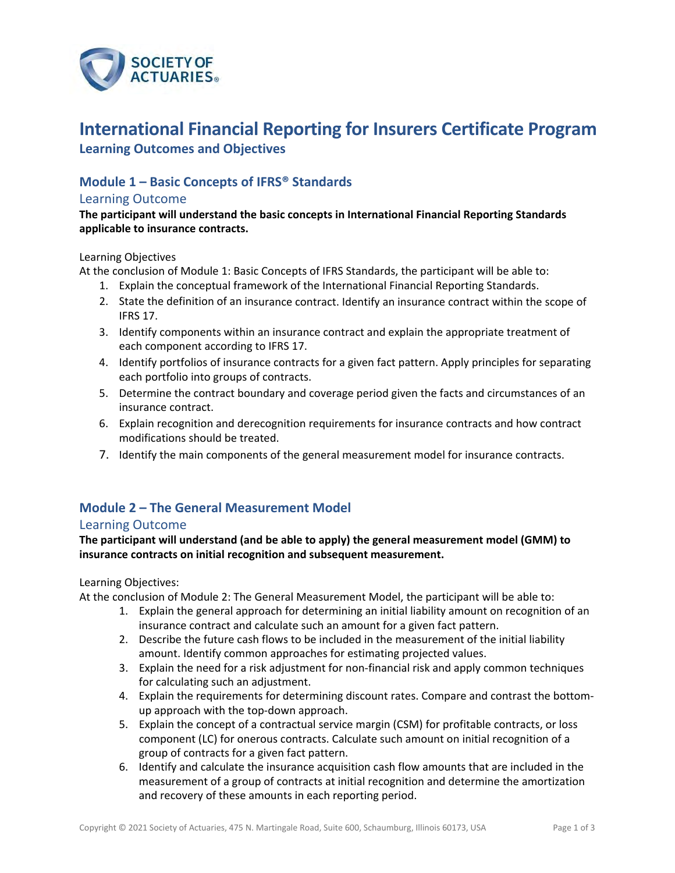

# **International Financial Reporting for Insurers Certificate Program**

**Learning Outcomes and Objectives**

## **Module 1 – Basic Concepts of IFRS® Standards**

#### Learning Outcome

**The participant will understand the basic concepts in International Financial Reporting Standards applicable to insurance contracts.**

#### Learning Objectives

At the conclusion of Module 1: Basic Concepts of IFRS Standards, the participant will be able to:

- 1. Explain the conceptual framework of the International Financial Reporting Standards.
- 2. State the definition of an insurance contract. Identify an insurance contract within the scope of IFRS 17.
- 3. Identify components within an insurance contract and explain the appropriate treatment of each component according to IFRS 17.
- 4. Identify portfolios of insurance contracts for a given fact pattern. Apply principles for separating each portfolio into groups of contracts.
- 5. Determine the contract boundary and coverage period given the facts and circumstances of an insurance contract.
- 6. Explain recognition and derecognition requirements for insurance contracts and how contract modifications should be treated.
- 7. Identify the main components of the general measurement model for insurance contracts.

## **Module 2 – The General Measurement Model**

#### Learning Outcome

**The participant will understand (and be able to apply) the general measurement model (GMM) to insurance contracts on initial recognition and subsequent measurement.**

#### Learning Objectives:

At the conclusion of Module 2: The General Measurement Model, the participant will be able to:

- 1. Explain the general approach for determining an initial liability amount on recognition of an insurance contract and calculate such an amount for a given fact pattern.
- 2. Describe the future cash flows to be included in the measurement of the initial liability amount. Identify common approaches for estimating projected values.
- 3. Explain the need for a risk adjustment for non‐financial risk and apply common techniques for calculating such an adjustment.
- 4. Explain the requirements for determining discount rates. Compare and contrast the bottomup approach with the top‐down approach.
- 5. Explain the concept of a contractual service margin (CSM) for profitable contracts, or loss component (LC) for onerous contracts. Calculate such amount on initial recognition of a group of contracts for a given fact pattern.
- 6. Identify and calculate the insurance acquisition cash flow amounts that are included in the measurement of a group of contracts at initial recognition and determine the amortization and recovery of these amounts in each reporting period.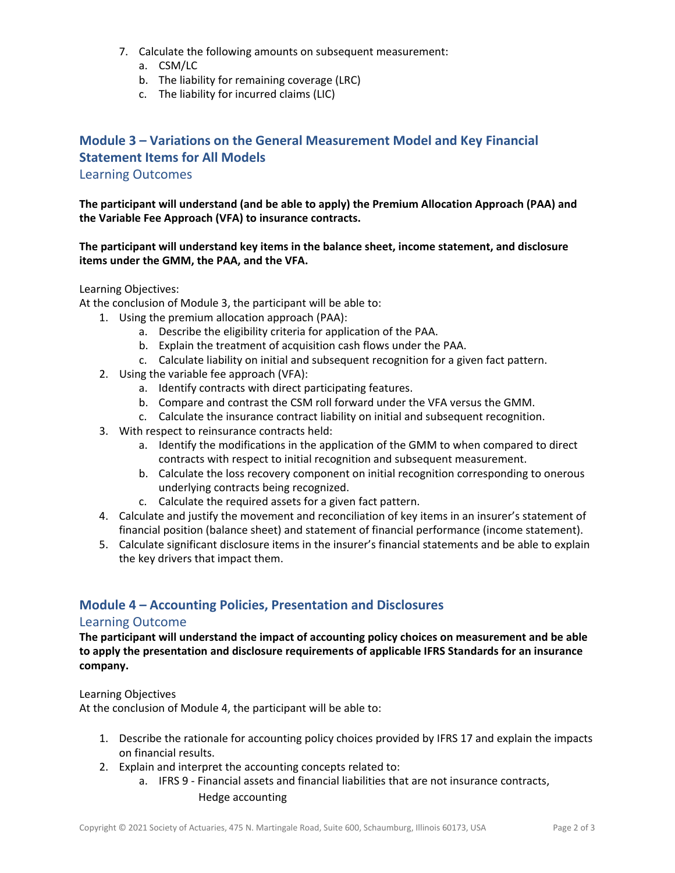- 7. Calculate the following amounts on subsequent measurement:
	- a. CSM/LC
	- b. The liability for remaining coverage (LRC)
	- c. The liability for incurred claims (LIC)

## **Module 3 – Variations on the General Measurement Model and Key Financial Statement Items for All Models**

#### Learning Outcomes

**The participant will understand (and be able to apply) the Premium Allocation Approach (PAA) and the Variable Fee Approach (VFA) to insurance contracts.**

#### **The participant will understand key items in the balance sheet, income statement, and disclosure items under the GMM, the PAA, and the VFA.**

#### Learning Objectives:

At the conclusion of Module 3, the participant will be able to:

- 1. Using the premium allocation approach (PAA):
	- a. Describe the eligibility criteria for application of the PAA.
	- b. Explain the treatment of acquisition cash flows under the PAA.
	- c. Calculate liability on initial and subsequent recognition for a given fact pattern.
- 2. Using the variable fee approach (VFA):
	- a. Identify contracts with direct participating features.
	- b. Compare and contrast the CSM roll forward under the VFA versus the GMM.
	- c. Calculate the insurance contract liability on initial and subsequent recognition.
- 3. With respect to reinsurance contracts held:
	- a. Identify the modifications in the application of the GMM to when compared to direct contracts with respect to initial recognition and subsequent measurement.
	- b. Calculate the loss recovery component on initial recognition corresponding to onerous underlying contracts being recognized.
	- c. Calculate the required assets for a given fact pattern.
- 4. Calculate and justify the movement and reconciliation of key items in an insurer's statement of financial position (balance sheet) and statement of financial performance (income statement).
- 5. Calculate significant disclosure items in the insurer's financial statements and be able to explain the key drivers that impact them.

## **Module 4 – Accounting Policies, Presentation and Disclosures**

#### Learning Outcome

**The participant will understand the impact of accounting policy choices on measurement and be able to apply the presentation and disclosure requirements of applicable IFRS Standards for an insurance company.** 

Learning Objectives

At the conclusion of Module 4, the participant will be able to:

- 1. Describe the rationale for accounting policy choices provided by IFRS 17 and explain the impacts on financial results.
- 2. Explain and interpret the accounting concepts related to:
	- a. IFRS 9 ‐ Financial assets and financial liabilities that are not insurance contracts, Hedge accounting